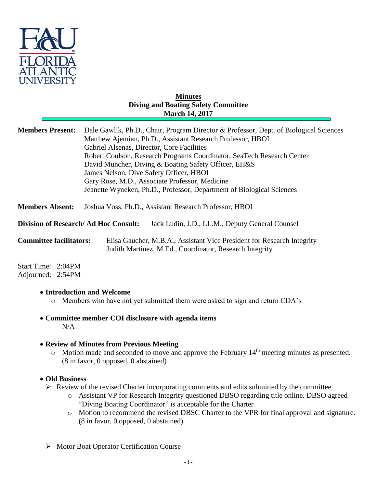

## **Minutes Diving and Boating Safety Committee March 14, 2017**

| <b>Members Present:</b>                                                                        | Dale Gawlik, Ph.D., Chair, Program Director & Professor, Dept. of Biological Sciences<br>Matthew Ajemian, Ph.D., Assistant Research Professor, HBOI<br>Gabriel Alsenas, Director, Core Facilities<br>Robert Coulson, Research Programs Coordinator, SeaTech Research Center<br>David Muncher, Diving & Boating Safety Officer, EH&S<br>James Nelson, Dive Safety Officer, HBOI<br>Gary Rose, M.D., Associate Professor, Medicine<br>Jeanette Wyneken, Ph.D., Professor, Department of Biological Sciences |
|------------------------------------------------------------------------------------------------|-----------------------------------------------------------------------------------------------------------------------------------------------------------------------------------------------------------------------------------------------------------------------------------------------------------------------------------------------------------------------------------------------------------------------------------------------------------------------------------------------------------|
| <b>Members Absent:</b>                                                                         | Joshua Voss, Ph.D., Assistant Research Professor, HBOI                                                                                                                                                                                                                                                                                                                                                                                                                                                    |
| <b>Division of Research/Ad Hoc Consult:</b><br>Jack Ludin, J.D., LL.M., Deputy General Counsel |                                                                                                                                                                                                                                                                                                                                                                                                                                                                                                           |
| <b>Committee facilitators:</b>                                                                 | Elisa Gaucher, M.B.A., Assistant Vice President for Research Integrity<br>Judith Martinez, M.Ed., Coordinator, Research Integrity                                                                                                                                                                                                                                                                                                                                                                         |

Start Time: 2:04PM Adjourned: 2:54PM

## **Introduction and Welcome**

- o Members who have not yet submitted them were asked to sign and return CDA's
- **Committee member COI disclosure with agenda items**  $N/A$

## **Review of Minutes from Previous Meeting**

o Motion made and seconded to move and approve the February 14th meeting minutes as presented. (8 in favor, 0 opposed, 0 abstained)

## **Old Business**

- $\triangleright$  Review of the revised Charter incorporating comments and edits submitted by the committee
	- o Assistant VP for Research Integrity questioned DBSO regarding title online. DBSO agreed "Diving Boating Coordinator" is acceptable for the Charter
	- o Motion to recommend the revised DBSC Charter to the VPR for final approval and signature. (8 in favor, 0 opposed, 0 abstained)
- Motor Boat Operator Certification Course